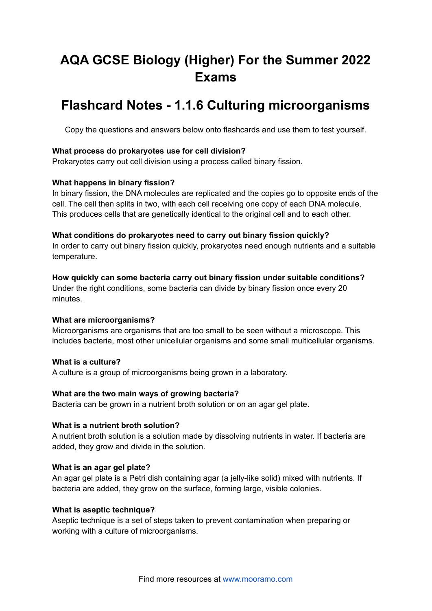# **AQA GCSE Biology (Higher) For the Summer 2022 Exams**

# **Flashcard Notes - 1.1.6 Culturing microorganisms**

Copy the questions and answers below onto flashcards and use them to test yourself.

# **What process do prokaryotes use for cell division?**

Prokaryotes carry out cell division using a process called binary fission.

# **What happens in binary fission?**

In binary fission, the DNA molecules are replicated and the copies go to opposite ends of the cell. The cell then splits in two, with each cell receiving one copy of each DNA molecule. This produces cells that are genetically identical to the original cell and to each other.

## **What conditions do prokaryotes need to carry out binary fission quickly?**

In order to carry out binary fission quickly, prokaryotes need enough nutrients and a suitable temperature.

## **How quickly can some bacteria carry out binary fission under suitable conditions?**

Under the right conditions, some bacteria can divide by binary fission once every 20 minutes.

#### **What are microorganisms?**

Microorganisms are organisms that are too small to be seen without a microscope. This includes bacteria, most other unicellular organisms and some small multicellular organisms.

# **What is a culture?**

A culture is a group of microorganisms being grown in a laboratory.

# **What are the two main ways of growing bacteria?**

Bacteria can be grown in a nutrient broth solution or on an agar gel plate.

#### **What is a nutrient broth solution?**

A nutrient broth solution is a solution made by dissolving nutrients in water. If bacteria are added, they grow and divide in the solution.

#### **What is an agar gel plate?**

An agar gel plate is a Petri dish containing agar (a jelly-like solid) mixed with nutrients. If bacteria are added, they grow on the surface, forming large, visible colonies.

#### **What is aseptic technique?**

Aseptic technique is a set of steps taken to prevent contamination when preparing or working with a culture of microorganisms.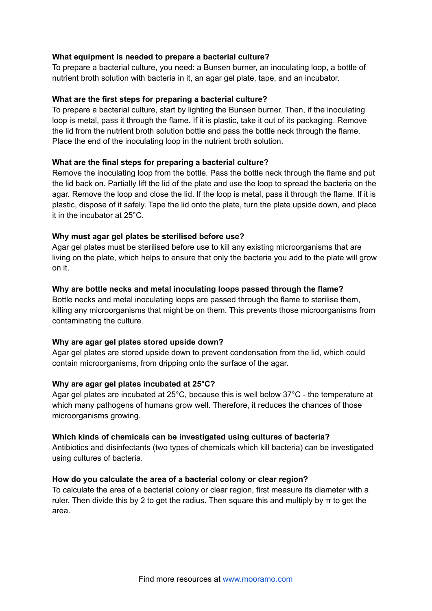# **What equipment is needed to prepare a bacterial culture?**

To prepare a bacterial culture, you need: a Bunsen burner, an inoculating loop, a bottle of nutrient broth solution with bacteria in it, an agar gel plate, tape, and an incubator.

## **What are the first steps for preparing a bacterial culture?**

To prepare a bacterial culture, start by lighting the Bunsen burner. Then, if the inoculating loop is metal, pass it through the flame. If it is plastic, take it out of its packaging. Remove the lid from the nutrient broth solution bottle and pass the bottle neck through the flame. Place the end of the inoculating loop in the nutrient broth solution.

## **What are the final steps for preparing a bacterial culture?**

Remove the inoculating loop from the bottle. Pass the bottle neck through the flame and put the lid back on. Partially lift the lid of the plate and use the loop to spread the bacteria on the agar. Remove the loop and close the lid. If the loop is metal, pass it through the flame. If it is plastic, dispose of it safely. Tape the lid onto the plate, turn the plate upside down, and place it in the incubator at 25°C.

## **Why must agar gel plates be sterilised before use?**

Agar gel plates must be sterilised before use to kill any existing microorganisms that are living on the plate, which helps to ensure that only the bacteria you add to the plate will grow on it.

## **Why are bottle necks and metal inoculating loops passed through the flame?**

Bottle necks and metal inoculating loops are passed through the flame to sterilise them, killing any microorganisms that might be on them. This prevents those microorganisms from contaminating the culture.

#### **Why are agar gel plates stored upside down?**

Agar gel plates are stored upside down to prevent condensation from the lid, which could contain microorganisms, from dripping onto the surface of the agar.

#### **Why are agar gel plates incubated at 25°C?**

Agar gel plates are incubated at 25°C, because this is well below 37°C - the temperature at which many pathogens of humans grow well. Therefore, it reduces the chances of those microorganisms growing.

#### **Which kinds of chemicals can be investigated using cultures of bacteria?**

Antibiotics and disinfectants (two types of chemicals which kill bacteria) can be investigated using cultures of bacteria.

#### **How do you calculate the area of a bacterial colony or clear region?**

To calculate the area of a bacterial colony or clear region, first measure its diameter with a ruler. Then divide this by 2 to get the radius. Then square this and multiply by  $\pi$  to get the area.